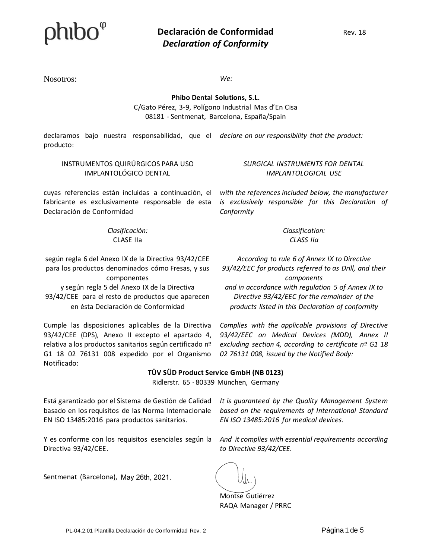Nosotros: *We:*

**Phibo Dental Solutions, S.L.** C/Gato Pérez, 3-9, Polígono Industrial Mas d'En Cisa 08181 - Sentmenat, Barcelona, España/Spain

declaramos bajo nuestra responsabilidad, que el declare on our responsibility that the product: producto:

#### INSTRUMENTOS QUIRÚRGICOS PARA USO IMPLANTOLÓGICO DENTAL

cuyas referencias están incluidas a continuación, el fabricante es exclusivamente responsable de esta Declaración de Conformidad

> *Clasificación:*  CLASE IIa

según regla 6 del Anexo IX de la Directiva 93/42/CEE para los productos denominados cómo Fresas, y sus componentes y según regla 5 del Anexo IX de la Directiva 93/42/CEE para el resto de productos que aparecen en ésta Declaración de Conformidad

Cumple las disposiciones aplicables de la Directiva 93/42/CEE (DPS), Anexo II excepto el apartado 4, relativa a los productos sanitarios según certificado nº G1 18 02 76131 008 expedido por el Organismo Notificado:

*SURGICAL INSTRUMENTS FOR DENTAL IMPLANTOLOGICAL USE*

*with the references included below, the manufacturer is exclusively responsible for this Declaration of Conformity*

> *Classification: CLASS IIa*

*According to rule 6 of Annex IX to Directive 93/42/EEC for products referred to as Drill, and their components and in accordance with regulation 5 of Annex IX to* 

*Directive 93/42/EEC for the remainder of the products listed in this Declaration of conformity*

*Complies with the applicable provisions of Directive 93/42/EEC on Medical Devices (MDD), Annex II excluding section 4, according to certificate nº G1 18 02 76131 008, issued by the Notified Body:*

### **TÜV SÜD Product Service GmbH (NB 0123)**

Ridlerstr. 65 · 80339 München, Germany

Está garantizado por el Sistema de Gestión de Calidad basado en los requisitos de las Norma Internacionale EN ISO 13485:2016 para productos sanitarios.

Y es conforme con los requisitos esenciales según la Directiva 93/42/CEE.

Sentmenat (Barcelona), May 26th, 2021.

*It is guaranteed by the Quality Management System based on the requirements of International Standard EN ISO 13485:2016 for medical devices.*

*And it complies with essential requirements according to Directive 93/42/CEE.*

Montse Gutiérrez RAQA Manager / PRRC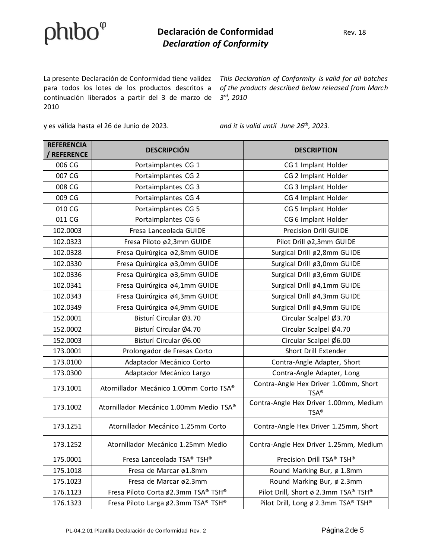### $phibo^{\varphi}$

#### **Declaración de Conformidad** Rev. 18 *Declaration of Conformity*

La presente Declaración de Conformidad tiene validez This Declaration of Conformity is valid for all batches para todos los lotes de los productos descritos a *of the products described below released from March*  continuación liberados a partir del 3 de marzo de *3 rd, 2010* 2010

y es válida hasta el 26 de Junio de 2023. *and it is valid until June 26th, 2023.*

| <b>REFERENCIA</b><br><b>REFERENCE</b> | <b>DESCRIPCIÓN</b>                      | <b>DESCRIPTION</b>                                          |
|---------------------------------------|-----------------------------------------|-------------------------------------------------------------|
| 006 CG                                | Portaimplantes CG 1                     | CG 1 Implant Holder                                         |
| 007 CG                                | Portaimplantes CG 2                     | CG 2 Implant Holder                                         |
| 008 CG                                | Portaimplantes CG 3                     | CG 3 Implant Holder                                         |
| 009 CG                                | Portaimplantes CG 4                     | CG 4 Implant Holder                                         |
| 010 CG                                | Portaimplantes CG 5                     | CG 5 Implant Holder                                         |
| 011 CG                                | Portaimplantes CG 6                     | CG 6 Implant Holder                                         |
| 102.0003                              | Fresa Lanceolada GUIDE                  | <b>Precision Drill GUIDE</b>                                |
| 102.0323                              | Fresa Piloto ø2,3mm GUIDE               | Pilot Drill ø2,3mm GUIDE                                    |
| 102.0328                              | Fresa Quirúrgica ø2,8mm GUIDE           | Surgical Drill ø2,8mm GUIDE                                 |
| 102.0330                              | Fresa Quirúrgica ø3,0mm GUIDE           | Surgical Drill ø3,0mm GUIDE                                 |
| 102.0336                              | Fresa Quirúrgica ø3,6mm GUIDE           | Surgical Drill ø3,6mm GUIDE                                 |
| 102.0341                              | Fresa Quirúrgica ø4,1mm GUIDE           | Surgical Drill ø4,1mm GUIDE                                 |
| 102.0343                              | Fresa Quirúrgica ø4,3mm GUIDE           | Surgical Drill ø4,3mm GUIDE                                 |
| 102.0349                              | Fresa Quirúrgica ø4,9mm GUIDE           | Surgical Drill ø4,9mm GUIDE                                 |
| 152.0001                              | Bisturí Circular Ø3.70                  | Circular Scalpel Ø3.70                                      |
| 152.0002                              | Bisturí Circular Ø4.70                  | Circular Scalpel Ø4.70                                      |
| 152.0003                              | Bisturí Circular Ø6.00                  | Circular Scalpel Ø6.00                                      |
| 173.0001                              | Prolongador de Fresas Corto             | Short Drill Extender                                        |
| 173.0100                              | Adaptador Mecánico Corto                | Contra-Angle Adapter, Short                                 |
| 173.0300                              | Adaptador Mecánico Largo                | Contra-Angle Adapter, Long                                  |
| 173.1001                              | Atornillador Mecánico 1.00mm Corto TSA® | Contra-Angle Hex Driver 1.00mm, Short<br>TSA®               |
| 173.1002                              | Atornillador Mecánico 1.00mm Medio TSA® | Contra-Angle Hex Driver 1.00mm, Medium<br>$TSA^{\circledR}$ |
| 173.1251                              | Atornillador Mecánico 1.25mm Corto      | Contra-Angle Hex Driver 1.25mm, Short                       |
| 173.1252                              | Atornillador Mecánico 1.25mm Medio      | Contra-Angle Hex Driver 1.25mm, Medium                      |
| 175.0001                              | Fresa Lanceolada TSA® TSH®              | Precision Drill TSA® TSH®                                   |
| 175.1018                              | Fresa de Marcar ø1.8mm                  | Round Marking Bur, ø 1.8mm                                  |
| 175.1023                              | Fresa de Marcar ø2.3mm                  | Round Marking Bur, ø 2.3mm                                  |
| 176.1123                              | Fresa Piloto Corta ø2.3mm TSA® TSH®     | Pilot Drill, Short ø 2.3mm TSA® TSH®                        |
| 176.1323                              | Fresa Piloto Larga ø2.3mm TSA® TSH®     | Pilot Drill, Long ø 2.3mm TSA® TSH®                         |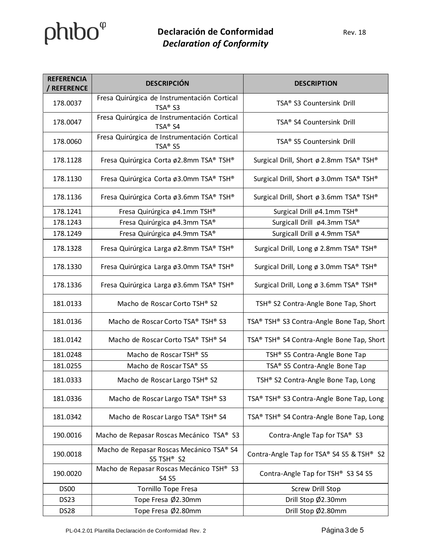# $phibo<sup>°</sup>$

| <b>REFERENCIA</b><br><b>REFERENCE</b> | <b>DESCRIPCIÓN</b>                                                  | <b>DESCRIPTION</b>                        |
|---------------------------------------|---------------------------------------------------------------------|-------------------------------------------|
| 178.0037                              | Fresa Quirúrgica de Instrumentación Cortical<br>TSA® S3             | TSA® S3 Countersink Drill                 |
| 178.0047                              | Fresa Quirúrgica de Instrumentación Cortical<br>TSA® S4             | TSA® S4 Countersink Drill                 |
| 178.0060                              | Fresa Quirúrgica de Instrumentación Cortical<br>TSA <sup>®</sup> S5 | TSA® S5 Countersink Drill                 |
| 178.1128                              | Fresa Quirúrgica Corta ø2.8mm TSA® TSH®                             | Surgical Drill, Short ø 2.8mm TSA® TSH®   |
| 178.1130                              | Fresa Quirúrgica Corta ø3.0mm TSA® TSH®                             | Surgical Drill, Short ø 3.0mm TSA® TSH®   |
| 178.1136                              | Fresa Quirúrgica Corta ø3.6mm TSA® TSH®                             | Surgical Drill, Short ø 3.6mm TSA® TSH®   |
| 178.1241                              | Fresa Quirúrgica ø4.1mm TSH®                                        | Surgical Drill ø4.1mm TSH®                |
| 178.1243                              | Fresa Quirúrgica ø4.3mm TSA®                                        | Surgicall Drill ø4.3mm TSA®               |
| 178.1249                              | Fresa Quirúrgica ø4.9mm TSA®                                        | Surgicall Drill ø 4.9mm TSA®              |
| 178.1328                              | Fresa Quirúrgica Larga ø2.8mm TSA® TSH®                             | Surgical Drill, Long ø 2.8mm TSA® TSH®    |
| 178.1330                              | Fresa Quirúrgica Larga ø3.0mm TSA® TSH®                             | Surgical Drill, Long ø 3.0mm TSA® TSH®    |
| 178.1336                              | Fresa Quirúrgica Larga ø3.6mm TSA® TSH®                             | Surgical Drill, Long ø 3.6mm TSA® TSH®    |
| 181.0133                              | Macho de Roscar Corto TSH® S2                                       | TSH® S2 Contra-Angle Bone Tap, Short      |
| 181.0136                              | Macho de Roscar Corto TSA® TSH® S3                                  | TSA® TSH® S3 Contra-Angle Bone Tap, Short |
| 181.0142                              | Macho de Roscar Corto TSA® TSH® S4                                  | TSA® TSH® S4 Contra-Angle Bone Tap, Short |
| 181.0248                              | Macho de Roscar TSH® S5                                             | TSH® S5 Contra-Angle Bone Tap             |
| 181.0255                              | Macho de Roscar TSA® S5                                             | TSA® S5 Contra-Angle Bone Tap             |
| 181.0333                              | Macho de Roscar Largo TSH® S2                                       | TSH® S2 Contra-Angle Bone Tap, Long       |
| 181.0336                              | Macho de Roscar Largo TSA® TSH® S3                                  | TSA® TSH® S3 Contra-Angle Bone Tap, Long  |
| 181.0342                              | Macho de Roscar Largo TSA® TSH® S4                                  | TSA® TSH® S4 Contra-Angle Bone Tap, Long  |
| 190.0016                              | Macho de Repasar Roscas Mecánico TSA® S3                            | Contra-Angle Tap for TSA® S3              |
| 190.0018                              | Macho de Repasar Roscas Mecánico TSA® S4<br>S5 TSH <sup>®</sup> S2  | Contra-Angle Tap for TSA® S4 S5 & TSH® S2 |
| 190.0020                              | Macho de Repasar Roscas Mecánico TSH® S3<br>S4 S5                   | Contra-Angle Tap for TSH® S3 S4 S5        |
| DS00                                  | Tornillo Tope Fresa                                                 | Screw Drill Stop                          |
| <b>DS23</b>                           | Tope Fresa Ø2.30mm                                                  | Drill Stop Ø2.30mm                        |
| DS28                                  | Tope Fresa Ø2.80mm                                                  | Drill Stop Ø2.80mm                        |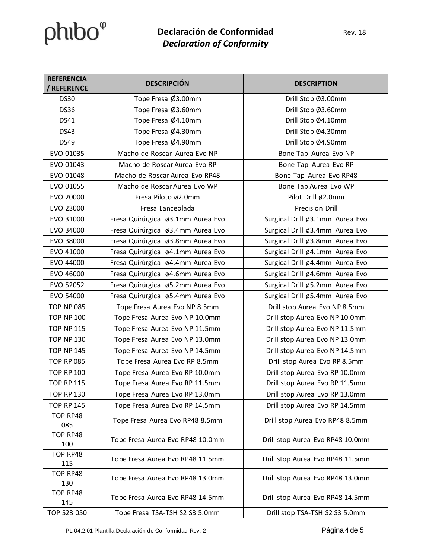# $phibo<sup>°</sup>$

### **Declaración de Conformidad** Rev. 18 *Declaration of Conformity*

| <b>REFERENCIA</b><br>REFERENCE | <b>DESCRIPCIÓN</b>                | <b>DESCRIPTION</b>               |
|--------------------------------|-----------------------------------|----------------------------------|
| <b>DS30</b>                    | Tope Fresa Ø3.00mm                | Drill Stop Ø3.00mm               |
| <b>DS36</b>                    | Tope Fresa Ø3.60mm                | Drill Stop Ø3.60mm               |
| <b>DS41</b>                    | Tope Fresa Ø4.10mm                | Drill Stop Ø4.10mm               |
| <b>DS43</b>                    | Tope Fresa Ø4.30mm                | Drill Stop Ø4.30mm               |
| <b>DS49</b>                    | Tope Fresa Ø4.90mm                | Drill Stop Ø4.90mm               |
| EVO 01035                      | Macho de Roscar Aurea Evo NP      | Bone Tap Aurea Evo NP            |
| EVO 01043                      | Macho de Roscar Aurea Evo RP      | Bone Tap Aurea Evo RP            |
| EVO 01048                      | Macho de Roscar Aurea Evo RP48    | Bone Tap Aurea Evo RP48          |
| EVO 01055                      | Macho de Roscar Aurea Evo WP      | Bone Tap Aurea Evo WP            |
| EVO 20000                      | Fresa Piloto ø2.0mm               | Pilot Drill ø2.0mm               |
| EVO 23000                      | Fresa Lanceolada                  | Precision Drill                  |
| EVO 31000                      | Fresa Quirúrgica ø3.1mm Aurea Evo | Surgical Drill ø3.1mm Aurea Evo  |
| EVO 34000                      | Fresa Quirúrgica ø3.4mm Aurea Evo | Surgical Drill ø3.4mm Aurea Evo  |
| EVO 38000                      | Fresa Quirúrgica ø3.8mm Aurea Evo | Surgical Drill ø3.8mm Aurea Evo  |
| EVO 41000                      | Fresa Quirúrgica ø4.1mm Aurea Evo | Surgical Drill ø4.1mm Aurea Evo  |
| EVO 44000                      | Fresa Quirúrgica ø4.4mm Aurea Evo | Surgical Drill ø4.4mm Aurea Evo  |
| EVO 46000                      | Fresa Quirúrgica ø4.6mm Aurea Evo | Surgical Drill ø4.6mm Aurea Evo  |
| EVO 52052                      | Fresa Quirúrgica ø5.2mm Aurea Evo | Surgical Drill ø5.2mm Aurea Evo  |
| EVO 54000                      | Fresa Quirúrgica ø5.4mm Aurea Evo | Surgical Drill ø5.4mm Aurea Evo  |
| <b>TOP NP 085</b>              | Tope Fresa Aurea Evo NP 8.5mm     | Drill stop Aurea Evo NP 8.5mm    |
| <b>TOP NP 100</b>              | Tope Fresa Aurea Evo NP 10.0mm    | Drill stop Aurea Evo NP 10.0mm   |
| <b>TOP NP 115</b>              | Tope Fresa Aurea Evo NP 11.5mm    | Drill stop Aurea Evo NP 11.5mm   |
| <b>TOP NP 130</b>              | Tope Fresa Aurea Evo NP 13.0mm    | Drill stop Aurea Evo NP 13.0mm   |
| <b>TOP NP 145</b>              | Tope Fresa Aurea Evo NP 14.5mm    | Drill stop Aurea Evo NP 14.5mm   |
| <b>TOP RP 085</b>              | Tope Fresa Aurea Evo RP 8.5mm     | Drill stop Aurea Evo RP 8.5mm    |
| <b>TOP RP 100</b>              | Tope Fresa Aurea Evo RP 10.0mm    | Drill stop Aurea Evo RP 10.0mm   |
| <b>TOP RP 115</b>              | Tope Fresa Aurea Evo RP 11.5mm    | Drill stop Aurea Evo RP 11.5mm   |
| <b>TOP RP 130</b>              | Tope Fresa Aurea Evo RP 13.0mm    | Drill stop Aurea Evo RP 13.0mm   |
| <b>TOP RP 145</b>              | Tope Fresa Aurea Evo RP 14.5mm    | Drill stop Aurea Evo RP 14.5mm   |
| TOP RP48<br>085                | Tope Fresa Aurea Evo RP48 8.5mm   | Drill stop Aurea Evo RP48 8.5mm  |
| TOP RP48<br>100                | Tope Fresa Aurea Evo RP48 10.0mm  | Drill stop Aurea Evo RP48 10.0mm |
| TOP RP48<br>115                | Tope Fresa Aurea Evo RP48 11.5mm  | Drill stop Aurea Evo RP48 11.5mm |
| TOP RP48<br>130                | Tope Fresa Aurea Evo RP48 13.0mm  | Drill stop Aurea Evo RP48 13.0mm |
| TOP RP48<br>145                | Tope Fresa Aurea Evo RP48 14.5mm  | Drill stop Aurea Evo RP48 14.5mm |
| TOP S23 050                    | Tope Fresa TSA-TSH S2 S3 5.0mm    | Drill stop TSA-TSH S2 S3 5.0mm   |